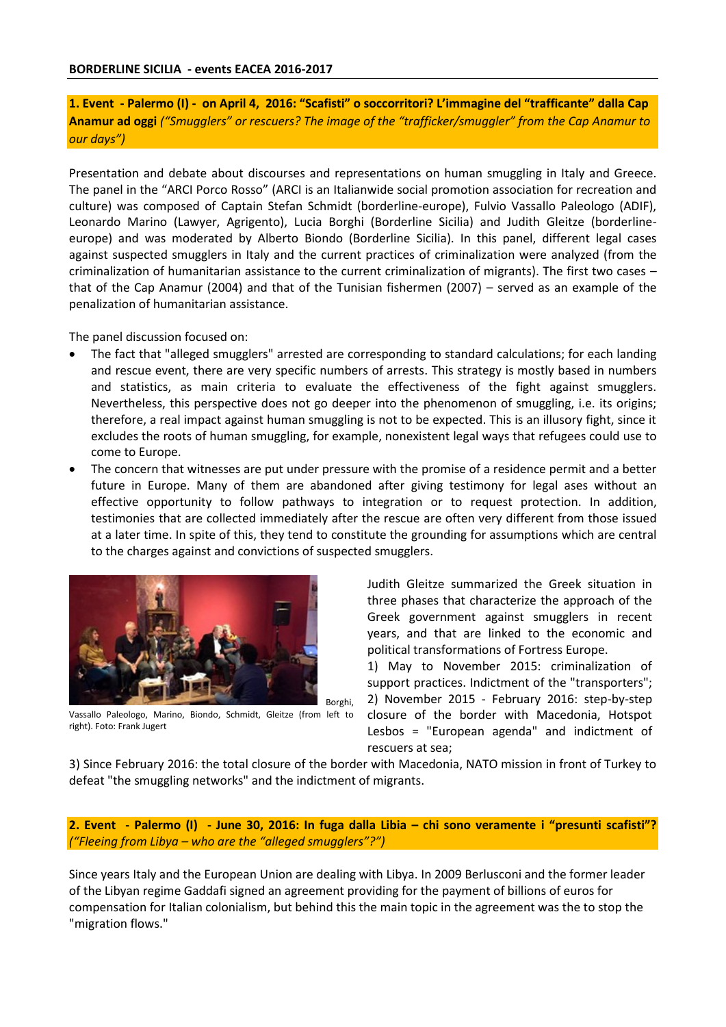**1. Event - Palermo (I) - on April 4, 2016: "Scafisti" o soccorritori? L'immagine del "trafficante" dalla Cap Anamur ad oggi** *("Smugglers" or rescuers? The image of the "trafficker/smuggler" from the Cap Anamur to our days")*

Presentation and debate about discourses and representations on human smuggling in Italy and Greece. The panel in the "ARCI Porco Rosso" (ARCI is an Italianwide social promotion association for recreation and culture) was composed of Captain Stefan Schmidt (borderline-europe), Fulvio Vassallo Paleologo (ADIF), Leonardo Marino (Lawyer, Agrigento), Lucia Borghi (Borderline Sicilia) and Judith Gleitze (borderlineeurope) and was moderated by Alberto Biondo (Borderline Sicilia). In this panel, different legal cases against suspected smugglers in Italy and the current practices of criminalization were analyzed (from the criminalization of humanitarian assistance to the current criminalization of migrants). The first two cases – that of the Cap Anamur (2004) and that of the Tunisian fishermen (2007) – served as an example of the penalization of humanitarian assistance.

The panel discussion focused on:

- The fact that "alleged smugglers" arrested are corresponding to standard calculations; for each landing and rescue event, there are very specific numbers of arrests. This strategy is mostly based in numbers and statistics, as main criteria to evaluate the effectiveness of the fight against smugglers. Nevertheless, this perspective does not go deeper into the phenomenon of smuggling, i.e. its origins; therefore, a real impact against human smuggling is not to be expected. This is an illusory fight, since it excludes the roots of human smuggling, for example, nonexistent legal ways that refugees could use to come to Europe.
- The concern that witnesses are put under pressure with the promise of a residence permit and a better future in Europe. Many of them are abandoned after giving testimony for legal ases without an effective opportunity to follow pathways to integration or to request protection. In addition, testimonies that are collected immediately after the rescue are often very different from those issued at a later time. In spite of this, they tend to constitute the grounding for assumptions which are central to the charges against and convictions of suspected smugglers.



Vassallo Paleologo, Marino, Biondo, Schmidt, Gleitze (from left to right). Foto: Frank Jugert

Judith Gleitze summarized the Greek situation in three phases that characterize the approach of the Greek government against smugglers in recent years, and that are linked to the economic and political transformations of Fortress Europe.

1) May to November 2015: criminalization of support practices. Indictment of the "transporters"; 2) November 2015 - February 2016: step-by-step closure of the border with Macedonia, Hotspot Lesbos = "European agenda" and indictment of rescuers at sea;

3) Since February 2016: the total closure of the border with Macedonia, NATO mission in front of Turkey to defeat "the smuggling networks" and the indictment of migrants.

**2. Event - Palermo (I) - June 30, 2016: In fuga dalla Libia – chi sono veramente i "presunti scafisti"?** *("Fleeing from Libya – who are the "alleged smugglers"?")*

Since years Italy and the European Union are dealing with Libya. In 2009 Berlusconi and the former leader of the Libyan regime Gaddafi signed an agreement providing for the payment of billions of euros for compensation for Italian colonialism, but behind this the main topic in the agreement was the to stop the "migration flows."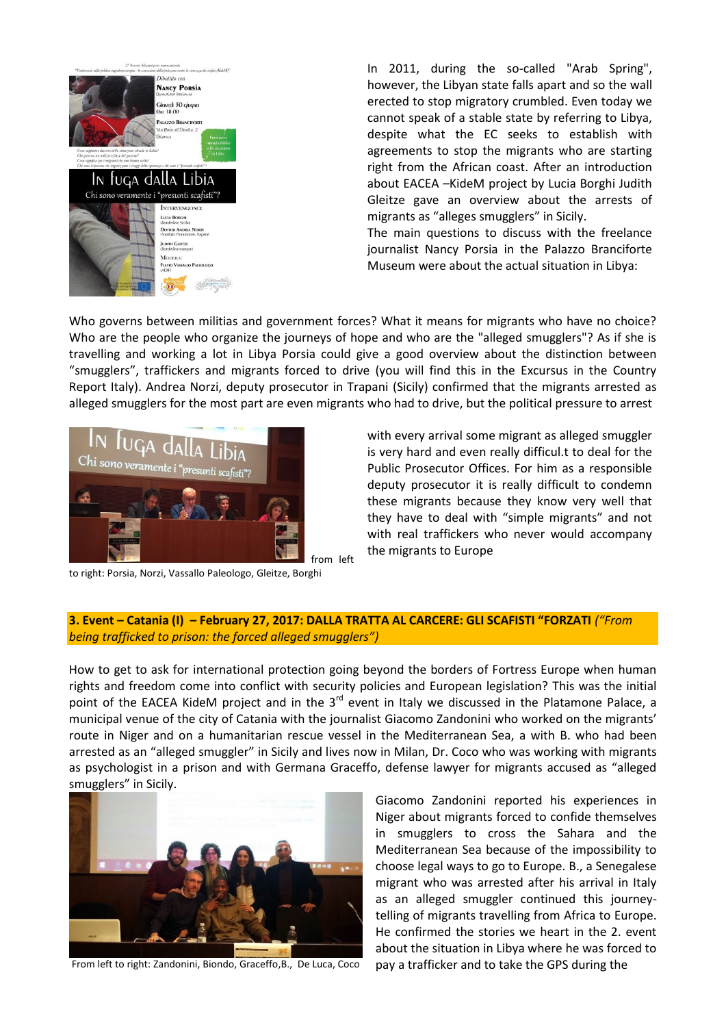

In 2011, during the so-called "Arab Spring", however, the Libyan state falls apart and so the wall erected to stop migratory crumbled. Even today we cannot speak of a stable state by referring to Libya, despite what the EC seeks to establish with agreements to stop the migrants who are starting right from the African coast. After an introduction about EACEA –KideM project by Lucia Borghi Judith Gleitze gave an overview about the arrests of migrants as "alleges smugglers" in Sicily.

The main questions to discuss with the freelance journalist Nancy Porsia in the Palazzo Branciforte Museum were about the actual situation in Libya:

Who governs between militias and government forces? What it means for migrants who have no choice? Who are the people who organize the journeys of hope and who are the "alleged smugglers"? As if she is travelling and working a lot in Libya Porsia could give a good overview about the distinction between "smugglers", traffickers and migrants forced to drive (you will find this in the Excursus in the Country Report Italy). Andrea Norzi, deputy prosecutor in Trapani (Sicily) confirmed that the migrants arrested as alleged smugglers for the most part are even migrants who had to drive, but the political pressure to arrest



with every arrival some migrant as alleged smuggler is very hard and even really difficul.t to deal for the Public Prosecutor Offices. For him as a responsible deputy prosecutor it is really difficult to condemn these migrants because they know very well that they have to deal with "simple migrants" and not with real traffickers who never would accompany the migrants to Europe

to right: Porsia, Norzi, Vassallo Paleologo, Gleitze, Borghi

## **3. Event – Catania (I) – February 27, 2017: DALLA TRATTA AL CARCERE: GLI SCAFISTI "FORZATI** *("From being trafficked to prison: the forced alleged smugglers")*

How to get to ask for international protection going beyond the borders of Fortress Europe when human rights and freedom come into conflict with security policies and European legislation? This was the initial point of the EACEA KideM project and in the  $3^{rd}$  event in Italy we discussed in the Platamone Palace, a municipal venue of the city of Catania with the journalist Giacomo Zandonini who worked on the migrants' route in Niger and on a humanitarian rescue vessel in the Mediterranean Sea, a with B. who had been arrested as an "alleged smuggler" in Sicily and lives now in Milan, Dr. Coco who was working with migrants as psychologist in a prison and with Germana Graceffo, defense lawyer for migrants accused as "alleged smugglers" in Sicily.



From left to right: Zandonini, Biondo, Graceffo,B., De Luca, Coco

Giacomo Zandonini reported his experiences in Niger about migrants forced to confide themselves in smugglers to cross the Sahara and the Mediterranean Sea because of the impossibility to choose legal ways to go to Europe. B., a Senegalese migrant who was arrested after his arrival in Italy as an alleged smuggler continued this journeytelling of migrants travelling from Africa to Europe. He confirmed the stories we heart in the 2. event about the situation in Libya where he was forced to pay a trafficker and to take the GPS during the